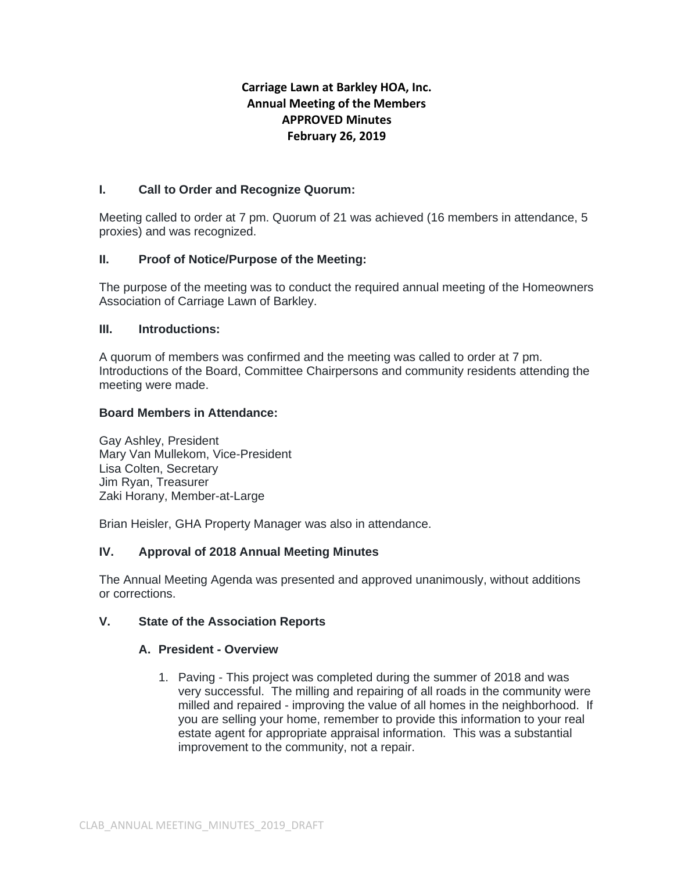# **Carriage Lawn at Barkley HOA, Inc. Annual Meeting of the Members APPROVED Minutes February 26, 2019**

## **I. Call to Order and Recognize Quorum:**

Meeting called to order at 7 pm. Quorum of 21 was achieved (16 members in attendance, 5 proxies) and was recognized.

## **II. Proof of Notice/Purpose of the Meeting:**

The purpose of the meeting was to conduct the required annual meeting of the Homeowners Association of Carriage Lawn of Barkley.

### **III. Introductions:**

A quorum of members was confirmed and the meeting was called to order at 7 pm. Introductions of the Board, Committee Chairpersons and community residents attending the meeting were made.

### **Board Members in Attendance:**

Gay Ashley, President Mary Van Mullekom, Vice-President Lisa Colten, Secretary Jim Ryan, Treasurer Zaki Horany, Member-at-Large

Brian Heisler, GHA Property Manager was also in attendance.

### **IV. Approval of 2018 Annual Meeting Minutes**

The Annual Meeting Agenda was presented and approved unanimously, without additions or corrections.

### **V. State of the Association Reports**

### **A. President - Overview**

1. Paving - This project was completed during the summer of 2018 and was very successful. The milling and repairing of all roads in the community were milled and repaired - improving the value of all homes in the neighborhood. If you are selling your home, remember to provide this information to your real estate agent for appropriate appraisal information. This was a substantial improvement to the community, not a repair.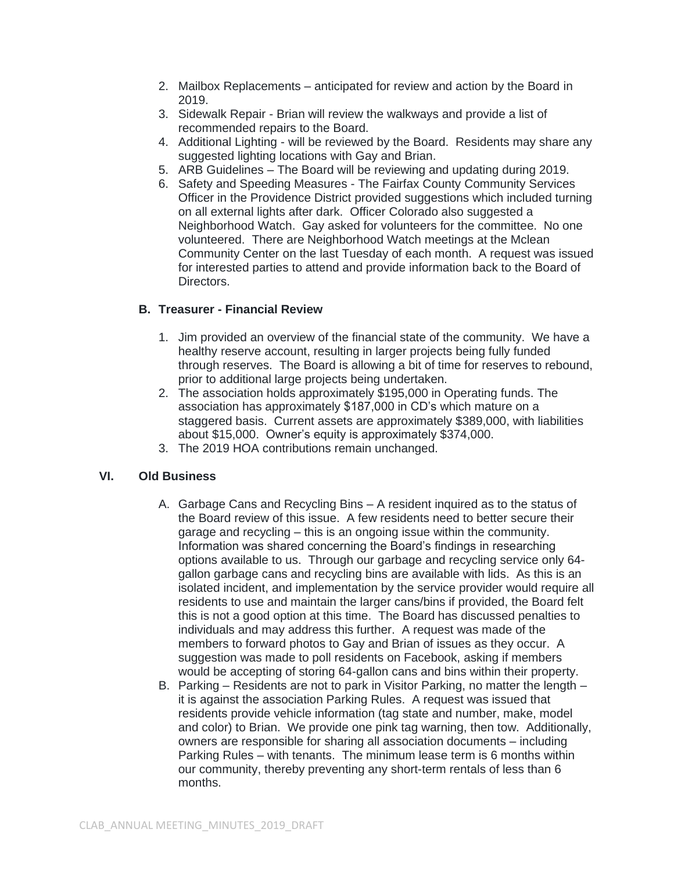- 2. Mailbox Replacements anticipated for review and action by the Board in 2019.
- 3. Sidewalk Repair Brian will review the walkways and provide a list of recommended repairs to the Board.
- 4. Additional Lighting will be reviewed by the Board. Residents may share any suggested lighting locations with Gay and Brian.
- 5. ARB Guidelines The Board will be reviewing and updating during 2019.
- 6. Safety and Speeding Measures The Fairfax County Community Services Officer in the Providence District provided suggestions which included turning on all external lights after dark. Officer Colorado also suggested a Neighborhood Watch. Gay asked for volunteers for the committee. No one volunteered. There are Neighborhood Watch meetings at the Mclean Community Center on the last Tuesday of each month. A request was issued for interested parties to attend and provide information back to the Board of Directors.

## **B. Treasurer - Financial Review**

- 1. Jim provided an overview of the financial state of the community. We have a healthy reserve account, resulting in larger projects being fully funded through reserves. The Board is allowing a bit of time for reserves to rebound, prior to additional large projects being undertaken.
- 2. The association holds approximately \$195,000 in Operating funds. The association has approximately \$187,000 in CD's which mature on a staggered basis. Current assets are approximately \$389,000, with liabilities about \$15,000. Owner's equity is approximately \$374,000.
- 3. The 2019 HOA contributions remain unchanged.

## **VI. Old Business**

- A. Garbage Cans and Recycling Bins A resident inquired as to the status of the Board review of this issue. A few residents need to better secure their garage and recycling – this is an ongoing issue within the community. Information was shared concerning the Board's findings in researching options available to us. Through our garbage and recycling service only 64 gallon garbage cans and recycling bins are available with lids. As this is an isolated incident, and implementation by the service provider would require all residents to use and maintain the larger cans/bins if provided, the Board felt this is not a good option at this time. The Board has discussed penalties to individuals and may address this further. A request was made of the members to forward photos to Gay and Brian of issues as they occur. A suggestion was made to poll residents on Facebook, asking if members would be accepting of storing 64-gallon cans and bins within their property.
- B. Parking Residents are not to park in Visitor Parking, no matter the length it is against the association Parking Rules. A request was issued that residents provide vehicle information (tag state and number, make, model and color) to Brian. We provide one pink tag warning, then tow. Additionally, owners are responsible for sharing all association documents – including Parking Rules – with tenants. The minimum lease term is 6 months within our community, thereby preventing any short-term rentals of less than 6 months.